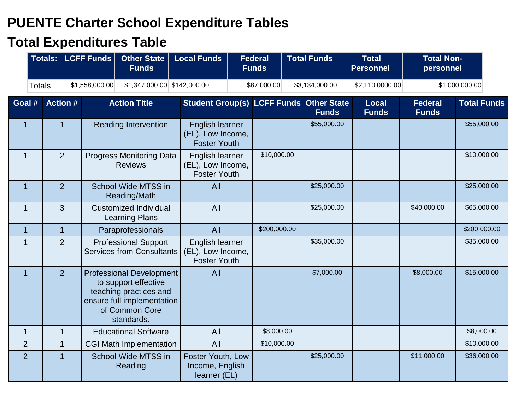## **PUENTE Charter School Expenditure Tables**

## **Total Expenditures Table**

|                | Totals:   LCFF Funds            |                                                                                                                                                 | <b>Other State</b><br><b>Funds</b>                    |                                                             | <b>Local Funds</b><br><b>Federal</b><br><b>Funds</b> |                                    |  | <b>Total Funds</b>          |  | <b>Total</b><br><b>Personnel</b> | <b>Total Non-</b><br>personnel |                    |
|----------------|---------------------------------|-------------------------------------------------------------------------------------------------------------------------------------------------|-------------------------------------------------------|-------------------------------------------------------------|------------------------------------------------------|------------------------------------|--|-----------------------------|--|----------------------------------|--------------------------------|--------------------|
|                | \$1,558,000.00<br><b>Totals</b> |                                                                                                                                                 | $$1,347,000.00$ $$142,000.00$                         |                                                             |                                                      | \$87,000.00                        |  | \$3,134,000.00              |  | \$2,110,0000.00                  |                                | \$1,000,000.00     |
| Goal #         | <b>Action #</b>                 |                                                                                                                                                 | <b>Action Title</b>                                   |                                                             |                                                      | <b>Student Group(s) LCFF Funds</b> |  | <b>Other State</b><br>Funds |  | <b>Local</b><br><b>Funds</b>     | <b>Federal</b><br><b>Funds</b> | <b>Total Funds</b> |
| $\mathbf{1}$   | $\mathbf{1}$                    | <b>Reading Intervention</b>                                                                                                                     |                                                       | English learner<br>(EL), Low Income,<br><b>Foster Youth</b> |                                                      |                                    |  | \$55,000.00                 |  |                                  |                                | \$55,000.00        |
| $\mathbf 1$    | 2                               |                                                                                                                                                 | <b>Progress Monitoring Data</b><br><b>Reviews</b>     | English learner<br>(EL), Low Income,<br><b>Foster Youth</b> |                                                      | \$10,000.00                        |  |                             |  |                                  |                                | \$10,000.00        |
| $\mathbf{1}$   | 2                               | School-Wide MTSS in<br>Reading/Math                                                                                                             |                                                       |                                                             | All                                                  |                                    |  | \$25,000.00                 |  |                                  |                                | \$25,000.00        |
| 1              | 3                               |                                                                                                                                                 | <b>Customized Individual</b><br><b>Learning Plans</b> |                                                             | All                                                  |                                    |  | \$25,000.00                 |  |                                  | \$40,000.00                    | \$65,000.00        |
| 1              | $\mathbf{1}$                    |                                                                                                                                                 | Paraprofessionals                                     |                                                             | All                                                  | \$200,000.00                       |  |                             |  |                                  |                                | \$200,000.00       |
| $\mathbf 1$    | $\overline{2}$                  | <b>Professional Support</b><br>Services from Consultants                                                                                        |                                                       | English learner<br>(EL), Low Income,<br><b>Foster Youth</b> |                                                      |                                    |  | \$35,000.00                 |  |                                  |                                | \$35,000.00        |
| $\overline{1}$ | $\overline{2}$                  | <b>Professional Development</b><br>to support effective<br>teaching practices and<br>ensure full implementation<br>of Common Core<br>standards. |                                                       | All                                                         |                                                      |                                    |  | \$7,000.00                  |  |                                  | \$8,000.00                     | \$15,000.00        |
| 1              | $\mathbf 1$                     | <b>Educational Software</b>                                                                                                                     |                                                       | All                                                         |                                                      | \$8,000.00                         |  |                             |  |                                  |                                | \$8,000.00         |
| $\overline{2}$ | $\overline{1}$                  |                                                                                                                                                 | <b>CGI Math Implementation</b>                        |                                                             | All                                                  | \$10,000.00                        |  |                             |  |                                  |                                | \$10,000.00        |
| 2              | $\overline{1}$                  | School-Wide MTSS in<br>Reading                                                                                                                  |                                                       | Foster Youth, Low<br>Income, English<br>learner (EL)        |                                                      |                                    |  | \$25,000.00                 |  |                                  | \$11,000.00                    | \$36,000.00        |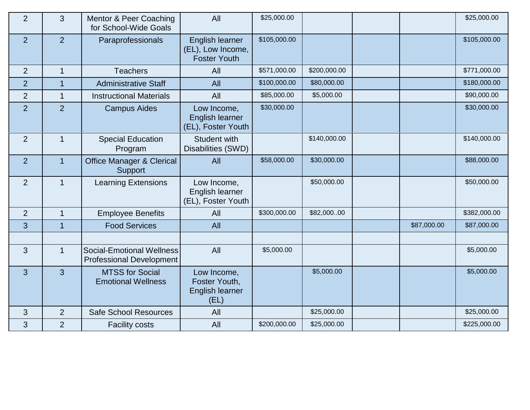| $\overline{2}$ | $\overline{3}$ | Mentor & Peer Coaching<br>for School-Wide Goals              | All                                                         | \$25,000.00  |              |             | \$25,000.00  |
|----------------|----------------|--------------------------------------------------------------|-------------------------------------------------------------|--------------|--------------|-------------|--------------|
| 2              | $\overline{2}$ | Paraprofessionals                                            | English learner<br>(EL), Low Income,<br><b>Foster Youth</b> | \$105,000.00 |              |             | \$105,000.00 |
| 2              | $\mathbf{1}$   | <b>Teachers</b>                                              | All                                                         | \$571,000.00 | \$200,000.00 |             | \$771,000.00 |
| $\overline{2}$ |                | <b>Administrative Staff</b>                                  | All                                                         | \$100,000.00 | \$80,000.00  |             | \$180,000.00 |
| $\overline{2}$ | $\mathbf{1}$   | <b>Instructional Materials</b>                               | All                                                         | \$85,000.00  | \$5,000.00   |             | \$90,000.00  |
| $\overline{2}$ | $\overline{2}$ | <b>Campus Aides</b>                                          | Low Income,<br>English learner<br>(EL), Foster Youth        | \$30,000.00  |              |             | \$30,000.00  |
| 2              | $\mathbf{1}$   | <b>Special Education</b><br>Program                          | Student with<br>Disabilities (SWD)                          |              | \$140,000.00 |             | \$140,000.00 |
| 2              | $\overline{1}$ | <b>Office Manager &amp; Clerical</b><br>Support              | All                                                         | \$58,000.00  | \$30,000.00  |             | \$88,000.00  |
| 2              | $\mathbf{1}$   | <b>Learning Extensions</b>                                   | Low Income,<br>English learner<br>(EL), Foster Youth        |              | \$50,000.00  |             | \$50,000.00  |
| 2              | 1              | <b>Employee Benefits</b>                                     | All                                                         | \$300,000.00 | \$82,00000   |             | \$382,000.00 |
| 3              | $\mathbf{1}$   | <b>Food Services</b>                                         | All                                                         |              |              | \$87,000.00 | \$87,000.00  |
|                |                |                                                              |                                                             |              |              |             |              |
| 3              | $\mathbf{1}$   | Social-Emotional Wellness<br><b>Professional Development</b> | All                                                         | \$5,000.00   |              |             | \$5,000.00   |
| 3              | $\mathbf{3}$   | <b>MTSS for Social</b><br><b>Emotional Wellness</b>          | Low Income,<br>Foster Youth,<br>English learner<br>(EL)     |              | \$5,000.00   |             | \$5,000.00   |
| 3              | $\overline{2}$ | <b>Safe School Resources</b>                                 | All                                                         |              | \$25,000.00  |             | \$25,000.00  |
| 3              | $\overline{2}$ | <b>Facility costs</b>                                        | All                                                         | \$200,000.00 | \$25,000.00  |             | \$225,000.00 |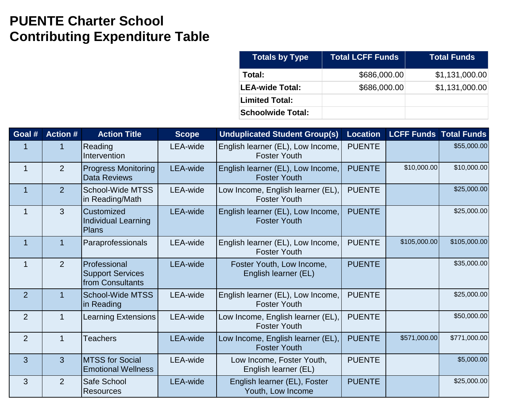## **PUENTE Charter School Contributing Expenditure Table**

| <b>Totals by Type</b>    | <b>Total LCFF Funds</b> | <b>Total Funds</b> |
|--------------------------|-------------------------|--------------------|
| Total:                   | \$686,000.00            | \$1,131,000.00     |
| <b>LEA-wide Total:</b>   | \$686,000.00            | \$1,131,000.00     |
| <b>Limited Total:</b>    |                         |                    |
| <b>Schoolwide Total:</b> |                         |                    |

| Goal #         | <b>Action #</b> | <b>Action Title</b>                                         | <b>Scope</b>    | <b>Unduplicated Student Group(s)</b>                     |               | <b>Location LCFF Funds Total Funds</b> |              |
|----------------|-----------------|-------------------------------------------------------------|-----------------|----------------------------------------------------------|---------------|----------------------------------------|--------------|
|                |                 | Reading<br>Intervention                                     | LEA-wide        | English learner (EL), Low Income,<br><b>Foster Youth</b> | <b>PUENTE</b> |                                        | \$55,000.00  |
|                | $\overline{2}$  | <b>Progress Monitoring</b><br>Data Reviews                  | LEA-wide        | English learner (EL), Low Income,<br><b>Foster Youth</b> | <b>PUENTE</b> | \$10,000.00                            | \$10,000.00  |
|                | 2 <sup>1</sup>  | School-Wide MTSS<br>in Reading/Math                         | LEA-wide        | Low Income, English learner (EL),<br><b>Foster Youth</b> | <b>PUENTE</b> |                                        | \$25,000.00  |
|                | $\mathbf{3}$    | <b>Customized</b><br>Individual Learning<br>Plans           | <b>LEA-wide</b> | English learner (EL), Low Income,<br><b>Foster Youth</b> | <b>PUENTE</b> |                                        | \$25,000.00  |
| 1              | $\overline{1}$  | Paraprofessionals                                           | LEA-wide        | English learner (EL), Low Income,<br><b>Foster Youth</b> | <b>PUENTE</b> | \$105,000.00                           | \$105,000.00 |
| 1              | 2 <sup>1</sup>  | Professional<br><b>Support Services</b><br>from Consultants | LEA-wide        | Foster Youth, Low Income,<br>English learner (EL)        | <b>PUENTE</b> |                                        | \$35,000.00  |
| $\overline{2}$ | $\overline{1}$  | School-Wide MTSS<br>in Reading                              | LEA-wide        | English learner (EL), Low Income,<br><b>Foster Youth</b> | <b>PUENTE</b> |                                        | \$25,000.00  |
| $\overline{2}$ | 1               | <b>Learning Extensions</b>                                  | LEA-wide        | Low Income, English learner (EL),<br><b>Foster Youth</b> | <b>PUENTE</b> |                                        | \$50,000.00  |
| $\overline{2}$ | $\overline{1}$  | <b>Teachers</b>                                             | LEA-wide        | Low Income, English learner (EL),<br><b>Foster Youth</b> | <b>PUENTE</b> | \$571,000.00                           | \$771,000.00 |
| $\overline{3}$ | 3 <sup>1</sup>  | <b>MTSS for Social</b><br><b>Emotional Wellness</b>         | LEA-wide        | Low Income, Foster Youth,<br>English learner (EL)        | <b>PUENTE</b> |                                        | \$5,000.00   |
| 3              | 2 <sup>1</sup>  | Safe School<br><b>Resources</b>                             | <b>LEA-wide</b> | English learner (EL), Foster<br>Youth, Low Income        | <b>PUENTE</b> |                                        | \$25,000.00  |